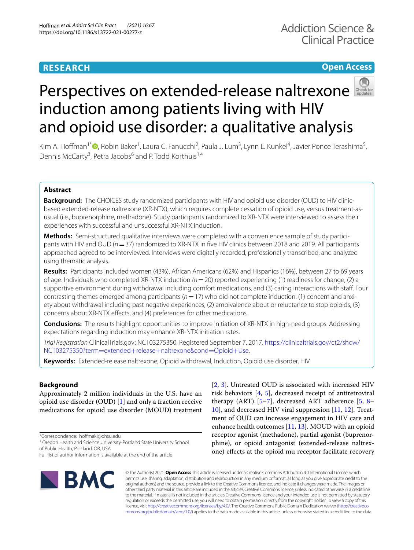## **RESEARCH**

## **Open Access**



# Perspectiveson extended-release naltrexone induction among patients living with HIV and opioid use disorder: a qualitative analysis

Kim A. Hoffman<sup>1\*</sup> <sup>(D</sup>[,](http://orcid.org/0000-0003-3063-7881) Robin Baker<sup>1</sup>, Laura C. Fanucchi<sup>2</sup>, Paula J. Lum<sup>3</sup>, Lynn E. Kunkel<sup>4</sup>, Javier Ponce Terashima<sup>5</sup>, Dennis McCarty<sup>3</sup>, Petra Jacobs<sup>6</sup> and P. Todd Korthuis<sup>1,4</sup>

## **Abstract**

**Background:** The CHOICES study randomized participants with HIV and opioid use disorder (OUD) to HIV clinicbased extended-release naltrexone (XR-NTX), which requires complete cessation of opioid use, versus treatment-asusual (i.e., buprenorphine, methadone). Study participants randomized to XR-NTX were interviewed to assess their experiences with successful and unsuccessful XR-NTX induction.

**Methods:** Semi-structured qualitative interviews were completed with a convenience sample of *s*tudy participants with HIV and OUD (*n*=37) randomized to XR-NTX in fve HIV clinics between 2018 and 2019. All participants approached agreed to be interviewed. Interviews were digitally recorded, professionally transcribed, and analyzed using thematic analysis.

**Results:** Participants included women (43%), African Americans (62%) and Hispanics (16%), between 27 to 69 years of age. Individuals who completed XR-NTX induction *(n*=20) reported experiencing (1) readiness for change, (2) a supportive environment during withdrawal including comfort medications, and (3) caring interactions with staff. Four contrasting themes emerged among participants (*n*=17) who did not complete induction: (1) concern and anxiety about withdrawal including past negative experiences, (2) ambivalence about or reluctance to stop opioids, (3) concerns about XR-NTX efects, and (4) preferences for other medications.

**Conclusions:** The results highlight opportunities to improve initiation of XR-NTX in high-need groups. Addressing expectations regarding induction may enhance XR-NTX initiation rates.

*Trial Registration* ClinicalTrials.gov: NCT03275350. Registered September 7, 2017. [https://clinicaltrials.gov/ct2/show/](https://clinicaltrials.gov/ct2/show/NCT03275350?term=extended+release+naltrexone&cond=Opioid+Use) [NCT03275350?term](https://clinicaltrials.gov/ct2/show/NCT03275350?term=extended+release+naltrexone&cond=Opioid+Use)=extended+release+naltrexone&cond=Opioid+Use.

**Keywords:** Extended-release naltrexone, Opioid withdrawal, Induction, Opioid use disorder, HIV

## **Background**

Approximately 2 million individuals in the U.S. have an opioid use disorder (OUD) [[1\]](#page-7-0) and only a fraction receive medications for opioid use disorder (MOUD) treatment

\*Correspondence: hofmaki@ohsu.edu

Full list of author information is available at the end of the article



[[2,](#page-7-1) [3](#page-7-2)]. Untreated OUD is associated with increased HIV risk behaviors [\[4](#page-7-3), [5](#page-7-4)], decreased receipt of antiretroviral therapy (ART)  $[5-7]$  $[5-7]$  $[5-7]$ , decreased ART adherence  $[5, 8-$ [10\]](#page-7-7), and decreased HIV viral suppression [[11](#page-8-0), [12](#page-8-1)]. Treatment of OUD can increase engagement in HIV care and enhance health outcomes  $[11, 13]$  $[11, 13]$  $[11, 13]$  $[11, 13]$ . MOUD with an opioid receptor agonist (methadone), partial agonist (buprenorphine), or opioid antagonist (extended-release naltrexone) effects at the opioid mu receptor facilitate recovery

© The Author(s) 2021. **Open Access** This article is licensed under a Creative Commons Attribution 4.0 International License, which permits use, sharing, adaptation, distribution and reproduction in any medium or format, as long as you give appropriate credit to the original author(s) and the source, provide a link to the Creative Commons licence, and indicate if changes were made. The images or other third party material in this article are included in the article's Creative Commons licence, unless indicated otherwise in a credit line to the material. If material is not included in the article's Creative Commons licence and your intended use is not permitted by statutory regulation or exceeds the permitted use, you will need to obtain permission directly from the copyright holder. To view a copy of this licence, visit [http://creativecommons.org/licenses/by/4.0/.](http://creativecommons.org/licenses/by/4.0/) The Creative Commons Public Domain Dedication waiver ([http://creativeco](http://creativecommons.org/publicdomain/zero/1.0/) [mmons.org/publicdomain/zero/1.0/](http://creativecommons.org/publicdomain/zero/1.0/)) applies to the data made available in this article, unless otherwise stated in a credit line to the data.

<sup>&</sup>lt;sup>1</sup> Oregon Health and Science University-Portland State University School of Public Health, Portland, OR, USA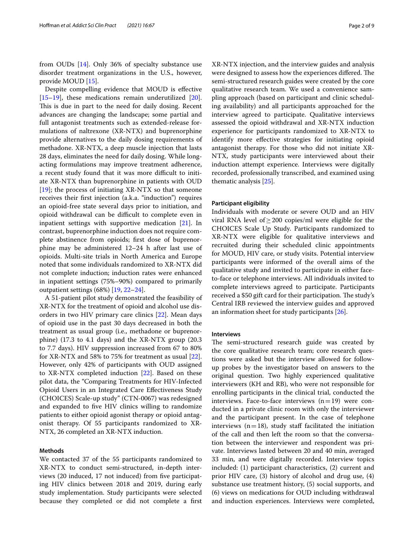from OUDs [[14](#page-8-3)]. Only 36% of specialty substance use disorder treatment organizations in the U.S., however, provide MOUD [[15\]](#page-8-4).

Despite compelling evidence that MOUD is efective [[15–](#page-8-4)[19](#page-8-5)], these medications remain underutilized [\[20](#page-8-6)]. This is due in part to the need for daily dosing. Recent advances are changing the landscape; some partial and full antagonist treatments such as extended-release formulations of naltrexone (XR-NTX) and buprenorphine provide alternatives to the daily dosing requirements of methadone. XR-NTX, a deep muscle injection that lasts 28 days, eliminates the need for daily dosing. While longacting formulations may improve treatment adherence, a recent study found that it was more difficult to initiate XR-NTX than buprenorphine in patients with OUD [[19\]](#page-8-5); the process of initiating XR-NTX so that someone receives their frst injection (a.k.a. "induction") requires an opioid-free state several days prior to initiation, and opioid withdrawal can be difficult to complete even in inpatient settings with supportive medication [\[21](#page-8-7)]. In contrast, buprenorphine induction does not require complete abstinence from opioids; frst dose of buprenorphine may be administered 12–24 h after last use of opioids. Multi-site trials in North America and Europe noted that some individuals randomized to XR-NTX did not complete induction; induction rates were enhanced in inpatient settings (75%–90%) compared to primarily outpatient settings (68%) [[19](#page-8-5), [22–](#page-8-8)[24\]](#page-8-9).

A 51-patient pilot study demonstrated the feasibility of XR-NTX for the treatment of opioid and alcohol use disorders in two HIV primary care clinics [[22\]](#page-8-8). Mean days of opioid use in the past 30 days decreased in both the treatment as usual group (i.e., methadone or buprenorphine) (17.3 to 4.1 days) and the XR-NTX group (20.3 to 7.7 days). HIV suppression increased from 67 to 80% for XR-NTX and 58% to 75% for treatment as usual [\[22](#page-8-8)]. However, only 42% of participants with OUD assigned to XR-NTX completed induction [[22\]](#page-8-8). Based on these pilot data, the "Comparing Treatments for HIV-Infected Opioid Users in an Integrated Care Efectiveness Study (CHOICES) Scale-up study" (CTN-0067) was redesigned and expanded to fve HIV clinics willing to randomize patients to either opioid agonist therapy or opioid antagonist therapy. Of 55 participants randomized to XR-NTX, 26 completed an XR-NTX induction.

## **Methods**

We contacted 37 of the 55 participants randomized to XR-NTX to conduct semi-structured, in-depth interviews (20 induced, 17 not induced) from fve participating HIV clinics between 2018 and 2019, during early study implementation. Study participants were selected because they completed or did not complete a frst

XR-NTX injection, and the interview guides and analysis were designed to assess how the experiences differed. The semi-structured research guides were created by the core qualitative research team. We used a convenience sampling approach (based on participant and clinic scheduling availability) and all participants approached for the interview agreed to participate. Qualitative interviews assessed the opioid withdrawal and XR-NTX induction experience for participants randomized to XR-NTX to identify more efective strategies for initiating opioid antagonist therapy. For those who did not initiate XR-NTX, study participants were interviewed about their induction attempt experience. Interviews were digitally recorded, professionally transcribed, and examined using thematic analysis [\[25](#page-8-10)].

## **Participant eligibility**

Individuals with moderate or severe OUD and an HIV viral RNA level of≥200 copies/ml were eligible for the CHOICES Scale Up Study. Participants randomized to XR-NTX were eligible for qualitative interviews and recruited during their scheduled clinic appointments for MOUD, HIV care, or study visits. Potential interview participants were informed of the overall aims of the qualitative study and invited to participate in either faceto-face or telephone interviews. All individuals invited to complete interviews agreed to participate. Participants received a \$50 gift card for their participation. The study's Central IRB reviewed the interview guides and approved an information sheet for study participants [\[26\]](#page-8-11).

#### **Interviews**

The semi-structured research guide was created by the core qualitative research team; core research questions were asked but the interview allowed for followup probes by the investigator based on answers to the original question. Two highly experienced qualitative interviewers (KH and RB), who were not responsible for enrolling participants in the clinical trial, conducted the interviews. Face-to-face interviews  $(n=19)$  were conducted in a private clinic room with only the interviewer and the participant present. In the case of telephone interviews  $(n=18)$ , study staff facilitated the initiation of the call and then left the room so that the conversation between the interviewer and respondent was private. Interviews lasted between 20 and 40 min, averaged 33 min, and were digitally recorded. Interview topics included: (1) participant characteristics, (2) current and prior HIV care, (3) history of alcohol and drug use, (4) substance use treatment history, (5) social supports, and (6) views on medications for OUD including withdrawal and induction experiences. Interviews were completed,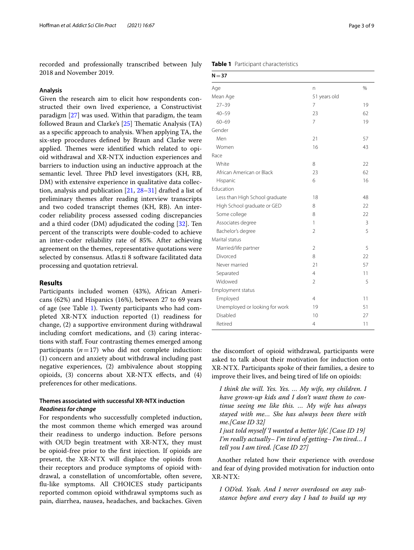recorded and professionally transcribed between July 2018 and November 2019.

## **Analysis**

Given the research aim to elicit how respondents constructed their own lived experience, a Constructivist paradigm [[27](#page-8-12)] was used. Within that paradigm, the team followed Braun and Clarke's [[25](#page-8-10)] Thematic Analysis (TA) as a specifc approach to analysis. When applying TA, the six-step procedures defned by Braun and Clarke were applied. Themes were identified which related to opioid withdrawal and XR-NTX induction experiences and barriers to induction using an inductive approach at the semantic level. Three PhD level investigators (KH, RB, DM) with extensive experience in qualitative data collection, analysis and publication [\[21](#page-8-7), [28–](#page-8-13)[31\]](#page-8-14) drafted a list of preliminary themes after reading interview transcripts and two coded transcript themes (KH, RB). An intercoder reliability process assessed coding discrepancies and a third coder (DM) adjudicated the coding [[32\]](#page-8-15). Ten percent of the transcripts were double-coded to achieve an inter-coder reliability rate of 85%. After achieving agreement on the themes, representative quotations were selected by consensus. Atlas.ti 8 software facilitated data processing and quotation retrieval.

## **Results**

Participants included women (43%), African Americans (62%) and Hispanics (16%), between 27 to 69 years of age (see Table [1](#page-2-0)). Twenty participants who had completed XR-NTX induction reported (1) readiness for change, (2) a supportive environment during withdrawal including comfort medications, and (3) caring interactions with staf. Four contrasting themes emerged among participants  $(n=17)$  who did not complete induction: (1) concern and anxiety about withdrawal including past negative experiences, (2) ambivalence about stopping opioids, (3) concerns about XR-NTX efects, and (4) preferences for other medications.

## **Themes associated with successful XR‑NTX induction** *Readiness for change*

For respondents who successfully completed induction, the most common theme which emerged was around their readiness to undergo induction. Before persons with OUD begin treatment with XR-NTX, they must be opioid-free prior to the frst injection. If opioids are present, the XR-NTX will displace the opioids from their receptors and produce symptoms of opioid withdrawal, a constellation of uncomfortable, often severe, fu-like symptoms. All CHOICES study participants reported common opioid withdrawal symptoms such as pain, diarrhea, nausea, headaches, and backaches. Given

<span id="page-2-0"></span>

|  |  | Table 1 Participant characteristics |
|--|--|-------------------------------------|
|--|--|-------------------------------------|

| $N = 37$                       |                |    |  |
|--------------------------------|----------------|----|--|
| Age                            | n              | %  |  |
| Mean Age                       | 51 years old   |    |  |
| $27 - 39$                      | $\overline{7}$ | 19 |  |
| $40 - 59$                      | 23             | 62 |  |
| $60 - 69$                      | $\overline{7}$ | 19 |  |
| Gender                         |                |    |  |
| Men                            | 21             | 57 |  |
| Women                          | 16             | 43 |  |
| Race                           |                |    |  |
| White                          | 8              | 22 |  |
| African American or Black      | 23             | 62 |  |
| Hispanic                       | 6              | 16 |  |
| Education                      |                |    |  |
| Less than High School graduate | 18             | 48 |  |
| High School graduate or GED    | 8              | 22 |  |
| Some college                   | 8              | 22 |  |
| Associates degree              | 1              | 3  |  |
| Bachelor's degree              | $\overline{2}$ | 5  |  |
| Marital status                 |                |    |  |
| Married/life partner           | $\overline{2}$ | 5  |  |
| Divorced                       | 8              | 22 |  |
| Never married                  | 21             | 57 |  |
| Separated                      | $\overline{4}$ | 11 |  |
| Widowed                        | $\mathfrak{D}$ | 5  |  |
| Employment status              |                |    |  |
| Employed                       | $\overline{4}$ | 11 |  |
| Unemployed or looking for work | 19             | 51 |  |
| Disabled                       | 10             | 27 |  |
| Retired                        | $\overline{4}$ | 11 |  |

the discomfort of opioid withdrawal, participants were asked to talk about their motivation for induction onto XR-NTX. Participants spoke of their families, a desire to improve their lives, and being tired of life on opioids:

*I think the will. Yes. Yes. … My wife, my children. I have grown-up kids and I don't want them to continue seeing me like this. … My wife has always stayed with me… She has always been there with me.[Case ID 32]*

*I just told myself 'I wanted a better life'. [Case ID 19] I'm really actually– I'm tired of getting– I'm tired… I tell you I am tired. [Case ID 27]*

Another related how their experience with overdose and fear of dying provided motivation for induction onto XR-NTX:

*I OD'ed. Yeah. And I never overdosed on any substance before and every day I had to build up my*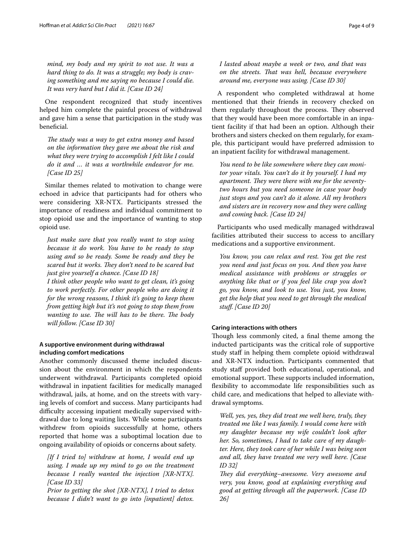*mind, my body and my spirit to not use. It was a hard thing to do. It was a struggle; my body is craving something and me saying no because I could die. It was very hard but I did it. [Case ID 24]*

One respondent recognized that study incentives helped him complete the painful process of withdrawal and gave him a sense that participation in the study was benefcial.

The study was a way to get extra money and based *on the information they gave me about the risk and what they were trying to accomplish I felt like I could do it and … it was a worthwhile endeavor for me. [Case ID 25]*

Similar themes related to motivation to change were echoed in advice that participants had for others who were considering XR-NTX. Participants stressed the importance of readiness and individual commitment to stop opioid use and the importance of wanting to stop opioid use.

*Just make sure that you really want to stop using because it do work. You have to be ready to stop using and so be ready. Some be ready and they be*  scared but it works. They don't need to be scared but *just give yourself a chance. [Case ID 18]*

*I think other people who want to get clean, it's going to work perfectly. For other people who are doing it for the wrong reasons, I think it's going to keep them from getting high but it's not going to stop them from wanting to use. The will has to be there. The body will follow. [Case ID 30]*

## **A supportive environment during withdrawal including comfort medications**

Another commonly discussed theme included discussion about the environment in which the respondents underwent withdrawal. Participants completed opioid withdrawal in inpatient facilities for medically managed withdrawal, jails, at home, and on the streets with varying levels of comfort and success. Many participants had difficulty accessing inpatient medically supervised withdrawal due to long waiting lists. While some participants withdrew from opioids successfully at home, others reported that home was a suboptimal location due to ongoing availability of opioids or concerns about safety.

*[If I tried to] withdraw at home, I would end up using. I made up my mind to go on the treatment because I really wanted the injection [XR-NTX]. [Case ID 33]*

*Prior to getting the shot [XR-NTX], I tried to detox because I didn't want to go into [inpatient] detox.*  *I lasted about maybe a week or two, and that was on the streets. Tat was hell, because everywhere around me, everyone was using. [Case ID 30]*

A respondent who completed withdrawal at home mentioned that their friends in recovery checked on them regularly throughout the process. They observed that they would have been more comfortable in an inpatient facility if that had been an option. Although their brothers and sisters checked on them regularly, for example, this participant would have preferred admission to an inpatient facility for withdrawal management.

*You need to be like somewhere where they can monitor your vitals. You can't do it by yourself. I had my*  apartment. They were there with me for the seventy*two hours but you need someone in case your body just stops and you can't do it alone. All my brothers and sisters are in recovery now and they were calling and coming back. [Case ID 24]*

Participants who used medically managed withdrawal facilities attributed their success to access to ancillary medications and a supportive environment.

*You know, you can relax and rest. You get the rest you need and just focus on you. And then you have medical assistance with problems or struggles or anything like that or if you feel like crap you don't go, you know, and look to use. You just, you know, get the help that you need to get through the medical stuf. [Case ID 20]*

## **Caring interactions with others**

Though less commonly cited, a final theme among the inducted participants was the critical role of supportive study staff in helping them complete opioid withdrawal and XR-NTX induction. Participants commented that study staff provided both educational, operational, and emotional support. These supports included information, fexibility to accommodate life responsibilities such as child care, and medications that helped to alleviate withdrawal symptoms.

*Well, yes, yes, they did treat me well here, truly, they treated me like I was family. I would come here with my daughter because my wife couldn't look after her. So, sometimes, I had to take care of my daughter. Here, they took care of her while I was being seen and all, they have treated me very well here. [Case ID 32]*

They did everything–awesome. Very awesome and *very, you know, good at explaining everything and good at getting through all the paperwork. [Case ID 26]*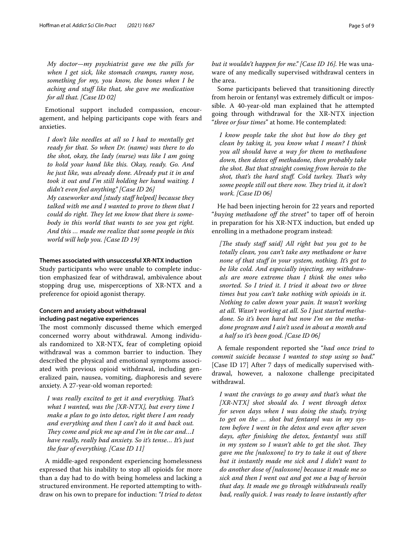*My doctor—my psychiatrist gave me the pills for when I get sick, like stomach cramps, runny nose, something for my, you know, the bones when I be aching and stuf like that, she gave me medication for all that. [Case ID 02]*

Emotional support included compassion, encouragement, and helping participants cope with fears and anxieties.

*I don't like needles at all so I had to mentally get ready for that. So when Dr. (name) was there to do the shot, okay, the lady (nurse) was like I am going to hold your hand like this. Okay, ready. Go. And he just like, was already done. Already put it in and took it out and I'm still holding her hand waiting. I didn't even feel anything." [Case ID 26]*

*My caseworker and [study staf helped] because they talked with me and I wanted to prove to them that I*  could do right. They let me know that there is some*body in this world that wants to see you get right. And this … made me realize that some people in this world will help you. [Case ID 19]*

## **Themes associated with unsuccessful XR‑NTX induction**

Study participants who were unable to complete induction emphasized fear of withdrawal, ambivalence about stopping drug use, misperceptions of XR-NTX and a preference for opioid agonist therapy.

## **Concern and anxiety about withdrawal including past negative experiences**

The most commonly discussed theme which emerged concerned worry about withdrawal. Among individuals randomized to XR-NTX, fear of completing opioid withdrawal was a common barrier to induction. They described the physical and emotional symptoms associated with previous opioid withdrawal, including generalized pain, nausea, vomiting, diaphoresis and severe anxiety. A 27-year-old woman reported:

I was really excited to get it and everything. That's *what I wanted, was the [XR-NTX], but every time I make a plan to go into detox, right there I am ready and everything and then I can't do it and back out. They come and pick me up and I'm in the car and...I have really, really bad anxiety. So it's tense… It's just the fear of everything. [Case ID 11]*

A middle-aged respondent experiencing homelessness expressed that his inability to stop all opioids for more than a day had to do with being homeless and lacking a structured environment. He reported attempting to withdraw on his own to prepare for induction: *"I tried to detox*  *but it wouldn't happen for me." [Case ID 16].* He was unaware of any medically supervised withdrawal centers in the area.

Some participants believed that transitioning directly from heroin or fentanyl was extremely difficult or impossible. A 40-year-old man explained that he attempted going through withdrawal for the XR-NTX injection "*three or four times*" at home. He contemplated:

*I know people take the shot but how do they get clean by taking it, you know what I mean? I think you all should have a way for them to methadone down, then detox of methadone, then probably take the shot. But that straight coming from heroin to the*  shot, that's the hard stuff. Cold turkey. That's why some people still out there now. They tried it, it don't *work. [Case ID 06]*

He had been injecting heroin for 22 years and reported "*buying methadone off the street*" to taper off of heroin in preparation for his XR-NTX induction, but ended up enrolling in a methadone program instead:

[The study staff said] All right but you got to be *totally clean, you can't take any methadone or have none of that stuf in your system, nothing. It's got to be like cold. And especially injecting, my withdrawals are more extreme than I think the ones who snorted. So I tried it. I tried it about two or three times but you can't take nothing with opioids in it. Nothing to calm down your pain. It wasn't working at all. Wasn't working at all. So I just started methadone. So it's been hard but now I'm on the methadone program and I ain't used in about a month and a half so it's been good. [Case ID 06]*

A female respondent reported she "*had once tried to commit suicide because I wanted to stop using so bad."* [Case ID 17] After 7 days of medically supervised withdrawal, however, a naloxone challenge precipitated withdrawal.

*I want the cravings to go away and that's what the [XR-NTX] shot should do. I went through detox for seven days when I was doing the study, trying to get on the … shot but fentanyl was in my system before I went in the detox and even after seven days, after fnishing the detox, fentantyl was still in my system so I wasn't able to get the shot. They gave me the [naloxone] to try to take it out of there but it instantly made me sick and I didn't want to do another dose of [naloxone] because it made me so sick and then I went out and got me a bag of heroin that day. It made me go through withdrawals really bad, really quick. I was ready to leave instantly after*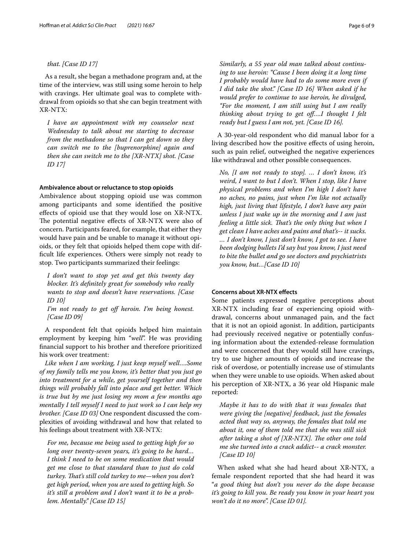## *that. [Case ID 17]*

As a result, she began a methadone program and, at the time of the interview, was still using some heroin to help with cravings. Her ultimate goal was to complete withdrawal from opioids so that she can begin treatment with XR-NTX:

*I have an appointment with my counselor next Wednesday to talk about me starting to decrease from the methadone so that I can get down so they can switch me to the [buprenorphine] again and then she can switch me to the [XR-NTX] shot. [Case ID 17]*

## **Ambivalence about or reluctance to stop opioids**

Ambivalence about stopping opioid use was common among participants and some identifed the positive efects of opioid use that they would lose on XR-NTX. The potential negative effects of XR-NTX were also of concern. Participants feared, for example, that either they would have pain and be unable to manage it without opioids, or they felt that opioids helped them cope with diffcult life experiences. Others were simply not ready to stop. Two participants summarized their feelings:

*I don't want to stop yet and get this twenty day blocker. It's defnitely great for somebody who really wants to stop and doesn't have reservations. [Case ID 10]*

*I'm not ready to get of heroin. I'm being honest. [Case ID 09]*

A respondent felt that opioids helped him maintain employment by keeping him "*well*". He was providing fnancial support to his brother and therefore prioritized his work over treatment:

*Like when I am working, I just keep myself well….Some of my family tells me you know, it's better that you just go into treatment for a while, get yourself together and then things will probably fall into place and get better. Which is true but by me just losing my mom a few months ago mentally I tell myself I need to just work so I can help my brother. [Case ID 03]* One respondent discussed the complexities of avoiding withdrawal and how that related to his feelings about treatment with XR-NTX:

*For me, because me being used to getting high for so long over twenty-seven years, it's going to be hard… I think I need to be on some medication that would get me close to that standard than to just do cold turkey. Tat's still cold turkey to me—when you don't get high period, when you are used to getting high. So it's still a problem and I don't want it to be a problem. Mentally." [Case ID 15]*

*Similarly, a 55 year old man talked about continuing to use heroin: "Cause I been doing it a long time I probably would have had to do some more even if I did take the shot." [Case ID 16] When asked if he would prefer to continue to use heroin, he divulged,* 

*"For the moment, I am still using but I am really thinking about trying to get of….I thought I felt ready but I guess I am not, yet. [Case ID 16].*

A 30-year-old respondent who did manual labor for a living described how the positive efects of using heroin, such as pain relief, outweighed the negative experiences like withdrawal and other possible consequences.

*No, [I am not ready to stop]. … I don't know, it's weird, I want to but I don't. When I stop, like I have physical problems and when I'm high I don't have no aches, no pains, just when I'm like not actually high, just living that lifestyle, I don't have any pain unless I just wake up in the morning and I am just feeling a little sick. That's the only thing but when I get clean I have aches and pains and that's-- it sucks. … I don't know, I just don't know, I got to see. I have been dodging bullets I'd say but you know, I just need to bite the bullet and go see doctors and psychiatrists you know, but…[Case ID 10]*

## **Concerns about XR‑NTX efects**

Some patients expressed negative perceptions about XR-NTX including fear of experiencing opioid withdrawal, concerns about unmanaged pain, and the fact that it is not an opioid agonist. In addition, participants had previously received negative or potentially confusing information about the extended-release formulation and were concerned that they would still have cravings, try to use higher amounts of opioids and increase the risk of overdose, or potentially increase use of stimulants when they were unable to use opioids. When asked about his perception of XR-NTX, a 36 year old Hispanic male reported:

*Maybe it has to do with that it was females that were giving the [negative] feedback, just the females acted that way so, anyway, the females that told me about it, one of them told me that she was still sick*  after taking a shot of [XR-NTX]. The other one told *me she turned into a crack addict-- a crack monster. [Case ID 10]*

When asked what she had heard about XR-NTX, a female respondent reported that she had heard it was "*a good thing but don't you never do the dope because it's going to kill you. Be ready you know in your heart you won't do it no more*". *[Case ID 01].*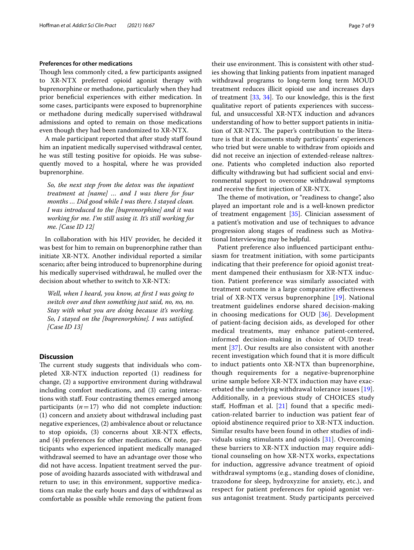## **Preferences for other medications**

Though less commonly cited, a few participants assigned to XR-NTX preferred opioid agonist therapy with buprenorphine or methadone, particularly when they had prior benefcial experiences with either medication. In some cases, participants were exposed to buprenorphine or methadone during medically supervised withdrawal admissions and opted to remain on those medications even though they had been randomized to XR-NTX.

A male participant reported that after study staff found him an inpatient medically supervised withdrawal center, he was still testing positive for opioids. He was subsequently moved to a hospital, where he was provided buprenorphine.

*So, the next step from the detox was the inpatient treatment at [name] … and I was there for four months … Did good while I was there. I stayed clean. I was introduced to the [buprenorphine] and it was working for me. I'm still using it. It's still working for me. [Case ID 12]*

In collaboration with his HIV provider, he decided it was best for him to remain on buprenorphine rather than initiate XR-NTX. Another individual reported a similar scenario; after being introduced to buprenorphine during his medically supervised withdrawal, he mulled over the decision about whether to switch to XR-NTX:

*Well, when I heard, you know, at frst I was going to switch over and then something just said, no, no, no. Stay with what you are doing because it's working. So, I stayed on the [buprenorphine]. I was satisfed. [Case ID 13]*

## **Discussion**

The current study suggests that individuals who completed XR-NTX induction reported (1) readiness for change, (2) a supportive environment during withdrawal including comfort medications, and (3) caring interactions with staf. Four contrasting themes emerged among participants  $(n=17)$  who did not complete induction: (1) concern and anxiety about withdrawal including past negative experiences, (2) ambivalence about or reluctance to stop opioids, (3) concerns about XR-NTX efects, and (4) preferences for other medications. Of note, participants who experienced inpatient medically managed withdrawal seemed to have an advantage over those who did not have access. Inpatient treatment served the purpose of avoiding hazards associated with withdrawal and return to use; in this environment, supportive medications can make the early hours and days of withdrawal as comfortable as possible while removing the patient from their use environment. This is consistent with other studies showing that linking patients from inpatient managed withdrawal programs to long‐term long term MOUD treatment reduces illicit opioid use and increases days of treatment [[33,](#page-8-16) [34](#page-8-17)]. To our knowledge, this is the frst qualitative report of patients experiences with successful, and unsuccessful XR-NTX induction and advances understanding of how to better support patients in initiation of XR-NTX. The paper's contribution to the literature is that it documents study participants' experiences who tried but were unable to withdraw from opioids and did not receive an injection of extended-release naltrexone. Patients who completed induction also reported difficulty withdrawing but had sufficient social and environmental support to overcome withdrawal symptoms and receive the frst injection of XR-NTX.

The theme of motivation, or "readiness to change", also played an important role and is a well-known predictor of treatment engagement [\[35](#page-8-18)]. Clinician assessment of a patient's motivation and use of techniques to advance progression along stages of readiness such as Motivational Interviewing may be helpful.

Patient preference also infuenced participant enthusiasm for treatment initiation, with some participants indicating that their preference for opioid agonist treatment dampened their enthusiasm for XR-NTX induction. Patient preference was similarly associated with treatment outcome in a large comparative efectiveness trial of XR-NTX versus buprenorphine [\[19\]](#page-8-5). National treatment guidelines endorse shared decision-making in choosing medications for OUD [[36](#page-8-19)]. Development of patient-facing decision aids, as developed for other medical treatments, may enhance patient-centered, informed decision-making in choice of OUD treatment [[37\]](#page-8-20). Our results are also consistent with another recent investigation which found that it is more difficult to induct patients onto XR-NTX than buprenorphine, though requirements for a negative-buprenorphine urine sample before XR-NTX induction may have exacerbated the underlying withdrawal tolerance issues [[19](#page-8-5)]. Additionally, in a previous study of CHOICES study staff, Hoffman et al.  $[21]$  $[21]$  found that a specific medication-related barrier to induction was patient fear of opioid abstinence required prior to XR-NTX induction. Similar results have been found in other studies of individuals using stimulants and opioids [\[31](#page-8-14)]. Overcoming these barriers to XR-NTX induction may require additional counseling on how XR-NTX works, expectations for induction, aggressive advance treatment of opioid withdrawal symptoms (e.g., standing doses of clonidine, trazodone for sleep, hydroxyzine for anxiety, etc.), and respect for patient preferences for opioid agonist versus antagonist treatment. Study participants perceived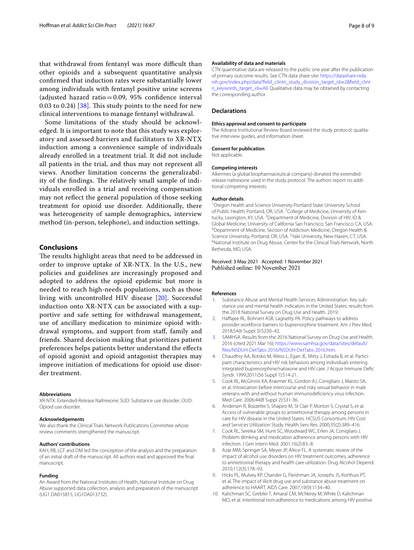that withdrawal from fentanyl was more difficult than other opioids and a subsequent quantitative analysis confrmed that induction rates were substantially lower among individuals with fentanyl positive urine screens (adjusted hazard ratio=0.09, 95% confidence interval 0.03 to 0.24)  $[38]$  $[38]$ . This study points to the need for new clinical interventions to manage fentanyl withdrawal.

Some limitations of the study should be acknowledged. It is important to note that this study was exploratory and assessed barriers and facilitators to XR-NTX induction among a convenience sample of individuals already enrolled in a treatment trial. It did not include all patients in the trial, and thus may not represent all views. Another limitation concerns the generalizability of the findings. The relatively small sample of individuals enrolled in a trial and receiving compensation may not refect the general population of those seeking treatment for opioid use disorder. Additionally, there was heterogeneity of sample demographics, interview method (in-person, telephone), and induction settings.

## **Conclusions**

The results highlight areas that need to be addressed in order to improve uptake of XR-NTX. In the U.S., new policies and guidelines are increasingly proposed and adopted to address the opioid epidemic but more is needed to reach high-needs populations, such as those living with uncontrolled HIV disease [[20](#page-8-6)]. Successful induction onto XR-NTX can be associated with a supportive and safe setting for withdrawal management, use of ancillary medication to minimize opioid withdrawal symptoms, and support from staf, family and friends. Shared decision making that prioritizes patient preferences helps patients better understand the efects of opioid agonist and opioid antagonist therapies may improve initiation of medications for opioid use disorder treatment.

#### **Abbreviations**

XR-NTX: Extended-Release Naltrexone; SUD: Substance use disorder; OUD: Opioid use disorder.

#### **Acknowledgements**

We also thank the Clinical Trials Network Publications Committee whose review comments strengthened the manuscript.

#### **Authors' contributions**

KAH, RB, LCF and DM led the conception of the analysis and the preparation of an initial draft of the manuscript. All authors read and approved the fnal manuscript.

#### **Funding**

An Award from the National Institutes of Health, National Institute on Drug Abuse supported data collection, analysis and preparation of the manuscript (UG1 DA015815, UG1DA013732).

#### **Availability of data and materials**

CTN quantitative data are released to the public one year after the publication of primary outcome results. See CTN data share site: [https://datashare.nida.](https://datashare.nida.nih.gov/index.php/data?field_clintri_study_division_target_id=2&field_clintri_keywords_target_id=All) [nih.gov/index.php/data?feld\\_clintri\\_study\\_division\\_target\\_id](https://datashare.nida.nih.gov/index.php/data?field_clintri_study_division_target_id=2&field_clintri_keywords_target_id=All)=2&feld\_clint [ri\\_keywords\\_target\\_id](https://datashare.nida.nih.gov/index.php/data?field_clintri_study_division_target_id=2&field_clintri_keywords_target_id=All)=All. Qualitative data may be obtained by contacting the corresponding author.

## **Declarations**

#### **Ethics approval and consent to participate**

The Advarra Institutional Review Board reviewed the study protocol, qualitative interview guides, and information sheet.

#### **Consent for publication**

Not applicable.

#### **Competing interests**

Alkermes (a global biopharmaceutical company) donated the extendedrelease naltrexone used in the study protocol. The authors report no additional competing interests.

#### **Author details**

<sup>1</sup> Oregon Health and Science University-Portland State University School of Public Health, Portland, OR, USA. <sup>2</sup> College of Medicine, University of Kentucky, Lexington, KY, USA. <sup>3</sup> Department of Medicine, Division of HIV, ID & Global Medicine, University of California San Francisco, San Francisco, CA, USA. 4 Department of Medicine, Section of Addiction Medicine, Oregon Health & Science University, Portland, OR, USA. <sup>5</sup>Yale University, New Haven, CT, USA.<br><sup>6</sup>National Institute on Drug Abuse Conter for the Clinical Trials Notwork, No. <sup>6</sup>National Institute on Drug Abuse, Center for the Clinical Trials Network, North Bethesda, MD, USA.

## Received: 3 May 2021 Accepted: 1 November 2021 Published online: 10 November 2021

## **References**

- <span id="page-7-0"></span>1. Substance Abuse and Mental Health Services Administration. Key substance use and mental health indicators in the United States: results from the 2018 National Survey on Drug Use and Health. 2019;
- <span id="page-7-1"></span>2. Haffajee RL, Bohnert ASB, Lagisetty PA. Policy pathways to address provider workforce barriers to buprenorphine treatment. Am J Prev Med. 2018;54(6 Suppl 3):S230–42.
- <span id="page-7-2"></span>3. SAMHSA. Results from the 2016 National Survey on Drug Use and Health. 2016 (cited 2021 Mar 16); [https://www.samhsa.gov/data/sites/default/](https://www.samhsa.gov/data/sites/default/files/NSDUH-DetTabs-2016/NSDUH-DetTabs-2016.htm) [fles/NSDUH-DetTabs-2016/NSDUH-DetTabs-2016.htm](https://www.samhsa.gov/data/sites/default/files/NSDUH-DetTabs-2016/NSDUH-DetTabs-2016.htm).
- <span id="page-7-3"></span>4. Chaudhry AA, Botsko M, Weiss L, Egan JE, Mitty J, Estrada B, et al. Participant characteristics and HIV risk behaviors among individuals entering integrated buprenorphine/naloxone and HIV care. J Acquir Immune Defc Syndr. 1999;2011(56 Suppl 1):S14-21.
- <span id="page-7-4"></span>5. Cook RL, McGinnis KA, Kraemer KL, Gordon AJ, Conigliaro J, Maisto SA, et al. Intoxication before intercourse and risky sexual behavior in male veterans with and without human immunodefciency virus infection. Med Care. 2006;44(8 Suppl 2):S31-36.
- Andersen R, Bozzette S, Shapiro M, St Clair P, Morton S, Crystal S, et al. Access of vulnerable groups to antiretroviral therapy among persons in care for HIV disease in the United States. HCSUS Consortium. HIV Cost and Services Utilization Study. Health Serv Res. 2000;35(2):389–416.
- <span id="page-7-5"></span>7. Cook RL, Sereika SM, Hunt SC, Woodward WC, Erlen JA, Conigliaro J. Problem drinking and medication adherence among persons with HIV infection. J Gen Intern Med. 2001;16(2):83–8.
- <span id="page-7-6"></span>8. Azar MM, Springer SA, Meyer JP, Altice FL. A systematic review of the impact of alcohol use disorders on HIV treatment outcomes, adherence to antiretroviral therapy and health care utilization. Drug Alcohol Depend. 2010;112(3):178–93.
- 9. Hicks PL, Mulvey KP, Chander G, Fleishman JA, Josephs JS, Korthuis PT, et al. The impact of illicit drug use and substance abuse treatment on adherence to HAART. AIDS Care. 2007;19(9):1134–40.
- <span id="page-7-7"></span>10. Kalichman SC, Grebler T, Amaral CM, McNerey M, White D, Kalichman MO, et al. Intentional non-adherence to medications among HIV positive